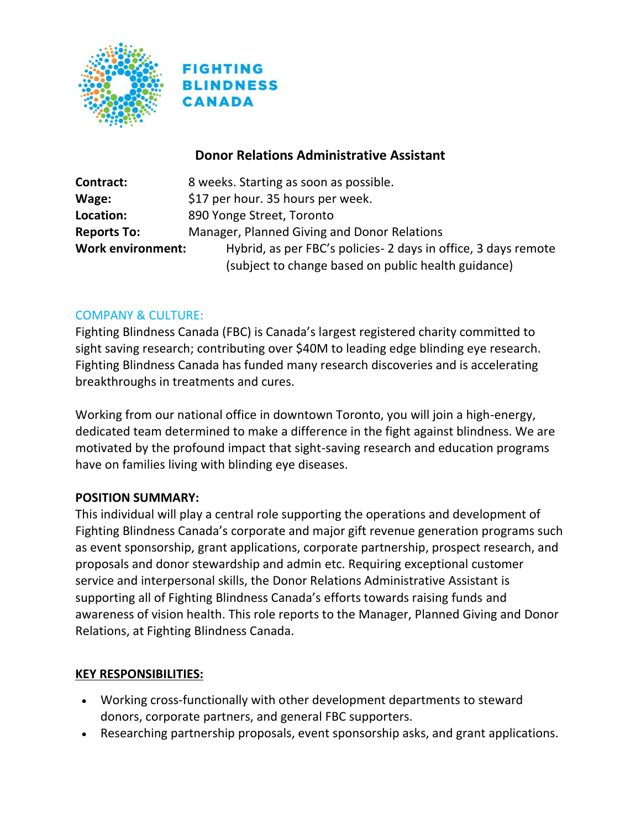



### **Donor Relations Administrative Assistant**

| Contract:                | 8 weeks. Starting as soon as possible.                          |
|--------------------------|-----------------------------------------------------------------|
| Wage:                    | \$17 per hour. 35 hours per week.                               |
| Location:                | 890 Yonge Street, Toronto                                       |
| <b>Reports To:</b>       | Manager, Planned Giving and Donor Relations                     |
| <b>Work environment:</b> | Hybrid, as per FBC's policies - 2 days in office, 3 days remote |
|                          | (subject to change based on public health guidance)             |

#### COMPANY & CULTURE:

Fighting Blindness Canada (FBC) is Canada's largest registered charity committed to sight saving research; contributing over \$40M to leading edge blinding eye research. Fighting Blindness Canada has funded many research discoveries and is accelerating breakthroughs in treatments and cures.

Working from our national office in downtown Toronto, you will join a high-energy, dedicated team determined to make a difference in the fight against blindness. We are motivated by the profound impact that sight-saving research and education programs have on families living with blinding eye diseases.

#### **POSITION SUMMARY:**

This individual will play a central role supporting the operations and development of Fighting Blindness Canada's corporate and major gift revenue generation programs such as event sponsorship, grant applications, corporate partnership, prospect research, and proposals and donor stewardship and admin etc. Requiring exceptional customer service and interpersonal skills, the Donor Relations Administrative Assistant is supporting all of Fighting Blindness Canada's efforts towards raising funds and awareness of vision health. This role reports to the Manager, Planned Giving and Donor Relations, at Fighting Blindness Canada.

#### **KEY RESPONSIBILITIES:**

- Working cross-functionally with other development departments to steward donors, corporate partners, and general FBC supporters.
- Researching partnership proposals, event sponsorship asks, and grant applications.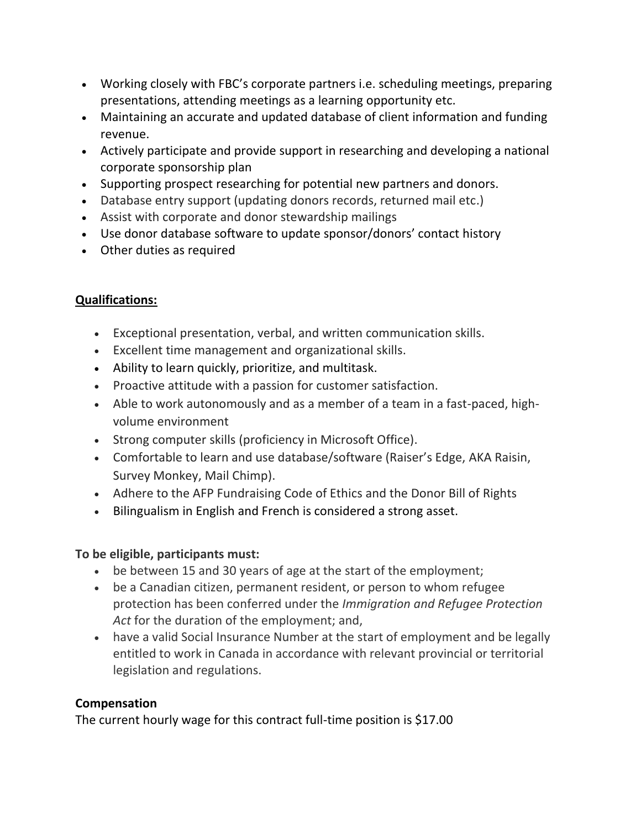- Working closely with FBC's corporate partners i.e. scheduling meetings, preparing presentations, attending meetings as a learning opportunity etc.
- Maintaining an accurate and updated database of client information and funding revenue.
- Actively participate and provide support in researching and developing a national corporate sponsorship plan
- Supporting prospect researching for potential new partners and donors.
- Database entry support (updating donors records, returned mail etc.)
- Assist with corporate and donor stewardship mailings
- Use donor database software to update sponsor/donors' contact history
- Other duties as required

# **Qualifications:**

- Exceptional presentation, verbal, and written communication skills.
- Excellent time management and organizational skills.
- Ability to learn quickly, prioritize, and multitask.
- Proactive attitude with a passion for customer satisfaction.
- Able to work autonomously and as a member of a team in a fast-paced, highvolume environment
- Strong computer skills (proficiency in Microsoft Office).
- Comfortable to learn and use database/software (Raiser's Edge, AKA Raisin, Survey Monkey, Mail Chimp).
- Adhere to the AFP Fundraising Code of Ethics and the Donor Bill of Rights
- Bilingualism in English and French is considered a strong asset.

# **To be eligible, participants must:**

- be between 15 and 30 years of age at the start of the employment;
- be a Canadian citizen, permanent resident, or person to whom refugee protection has been conferred under the *Immigration and Refugee Protection Act* for the duration of the employment; and,
- have a valid Social Insurance Number at the start of employment and be legally entitled to work in Canada in accordance with relevant provincial or territorial legislation and regulations.

# **Compensation**

The current hourly wage for this contract full-time position is \$17.00